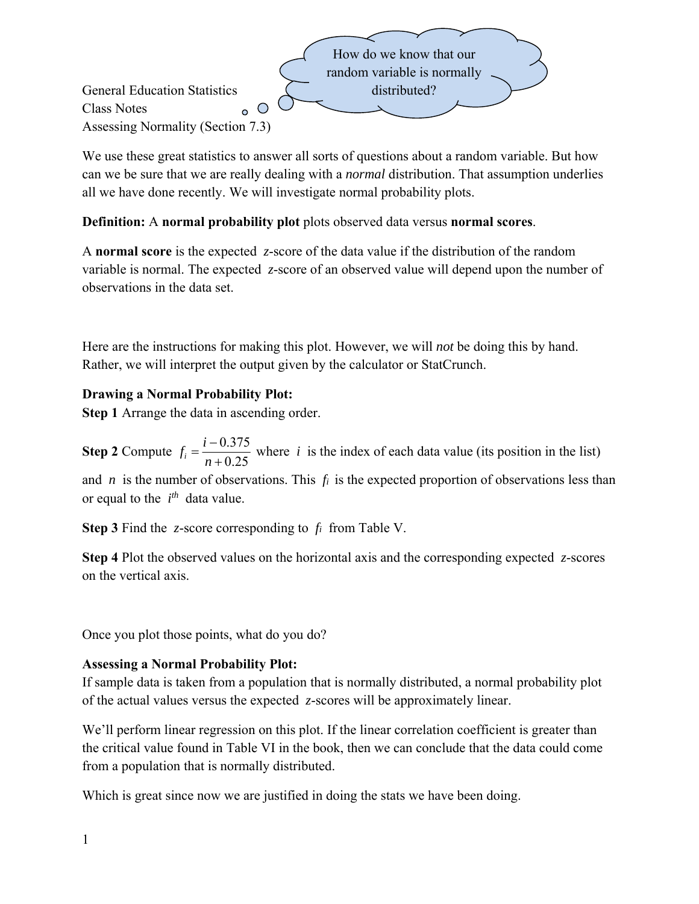

We use these great statistics to answer all sorts of questions about a random variable. But how can we be sure that we are really dealing with a *normal* distribution. That assumption underlies all we have done recently. We will investigate normal probability plots.

**Definition:** A **normal probability plot** plots observed data versus **normal scores**.

A **normal score** is the expected *z*-score of the data value if the distribution of the random variable is normal. The expected *z*-score of an observed value will depend upon the number of observations in the data set.

Here are the instructions for making this plot. However, we will *not* be doing this by hand. Rather, we will interpret the output given by the calculator or StatCrunch.

## **Drawing a Normal Probability Plot:**

**Step 1** Arrange the data in ascending order.

**Step 2** Compute  $f_i = \frac{i - 0.375}{2.35}$  $i$ <sup>*i*</sup>  $n + 0.25$  $f_i = \frac{i}{i}$  $=\frac{i-0.375}{n+0.25}$  where *i* is the index of each data value (its position in the list) and *n* is the number of observations. This *fi* is the expected proportion of observations less than or equal to the  $i^{th}$  data value.

**Step 3** Find the *z*-score corresponding to *fi* from Table V.

**Step 4** Plot the observed values on the horizontal axis and the corresponding expected *z*-scores on the vertical axis.

Once you plot those points, what do you do?

## **Assessing a Normal Probability Plot:**

If sample data is taken from a population that is normally distributed, a normal probability plot of the actual values versus the expected *z*-scores will be approximately linear.

We'll perform linear regression on this plot. If the linear correlation coefficient is greater than the critical value found in Table VI in the book, then we can conclude that the data could come from a population that is normally distributed.

Which is great since now we are justified in doing the stats we have been doing.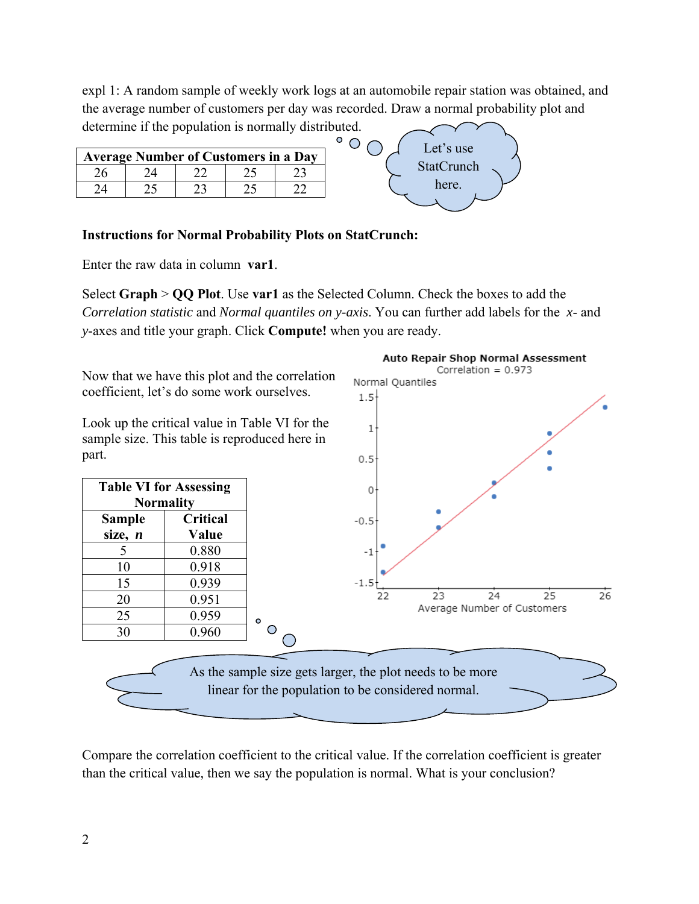expl 1: A random sample of weekly work logs at an automobile repair station was obtained, and the average number of customers per day was recorded. Draw a normal probability plot and determine if the population is normally distributed.

 $^{\circ}$  O

Let's use **StatCrunch** here.

Auto Repair Shop Normal Assessment Correlation =  $0.973$ 

| <b>Average Number of Customers in a Day</b> |  |  |  |  |  |  |  |
|---------------------------------------------|--|--|--|--|--|--|--|
|                                             |  |  |  |  |  |  |  |
|                                             |  |  |  |  |  |  |  |

## **Instructions for Normal Probability Plots on StatCrunch:**

Enter the raw data in column **var1**.

Select **Graph** > **QQ Plot**. Use **var1** as the Selected Column. Check the boxes to add the *Correlation statistic* and *Normal quantiles on y-axis*. You can further add labels for the *x*- and *y*-axes and title your graph. Click **Compute!** when you are ready.

Normal Quantiles

 $1.5<sup>5</sup>$ 

 $\mathbbm{1}$ 

Now that we have this plot and the correlation coefficient, let's do some work ourselves.

Look up the critical value in Table VI for the sample size. This table is reproduced here in part.



Compare the correlation coefficient to the critical value. If the correlation coefficient is greater than the critical value, then we say the population is normal. What is your conclusion?